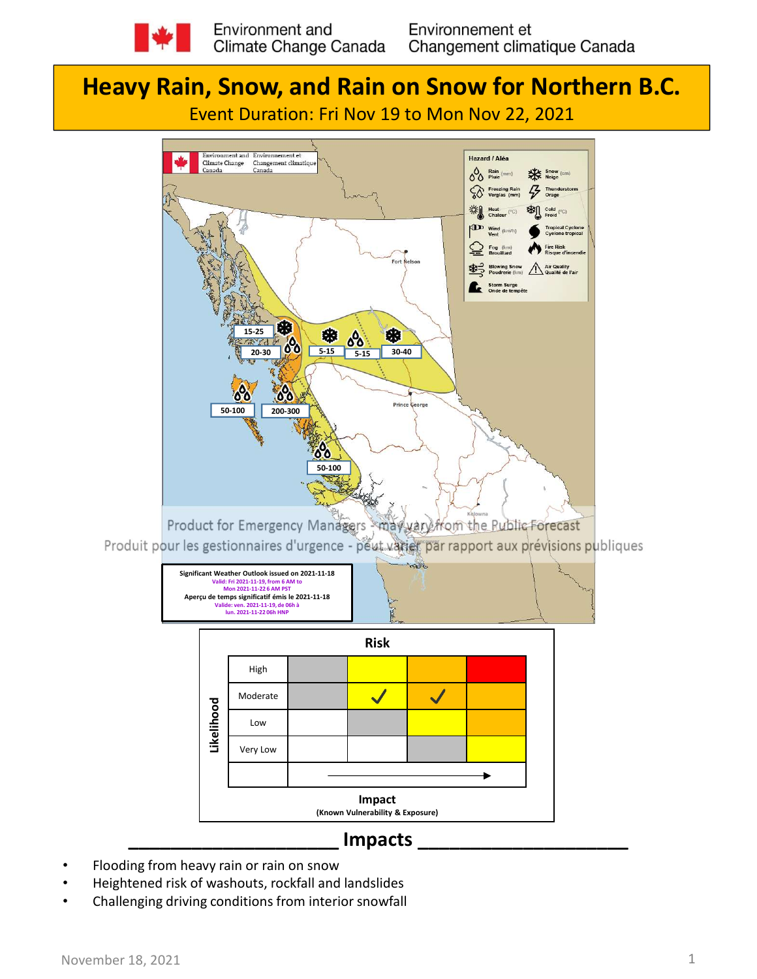

# Heavy Rain, Snow, and Rain on Snow for Northern B.C.







### \_\_\_\_\_\_\_\_\_\_\_\_\_\_\_\_\_\_\_\_ Impacts \_\_\_\_\_\_\_\_\_\_\_\_\_\_\_\_\_\_\_\_

- Flooding from heavy rain or rain on snow
- 
- Challenging driving conditions from interior snowfall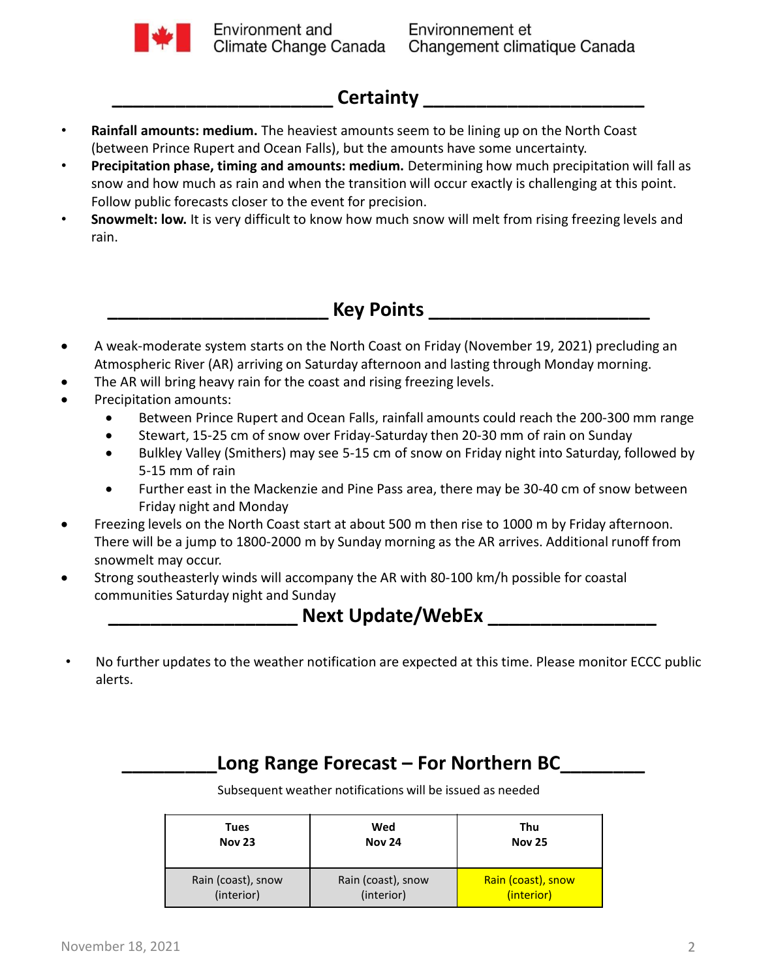

## Certainty

- Rainfall amounts: medium. The heaviest amounts seem to be lining up on the North Coast (between Prince Rupert and Ocean Falls), but the amounts have some uncertainty.
- **Example 19, 2021**<br> **A Rainfall amounts: medium.** The heaviest amounts seem to be lining up on the North Coast<br>
(between Prince Rupert and Ocean Falls), but the amounts have some uncertainty.<br> **Precipitation phase, timing** etween Prince Rupert and Ocean Falls), but the amounts have some uncertainty.<br>
ecipitation phase, timing and amounts: medium. Determining how much precipitation will slate<br>
bow and how much as rain and when the transition Precipitation phase, timing and amounts: medium. Determining how much precipitation will fall as snow and how much as rain and when the transition will occur exactly is challenging at this point. Follow public forecasts closer to the event for precision.
- Snowmelt: low. It is very difficult to know how much snow will melt from rising freezing levels and rain.

Key Points **Example 20** 

- Atmospheric River (AR) arriving on Saturday afternoon and lasting through Monday morning.
- The AR will bring heavy rain for the coast and rising freezing levels.
- Precipitation amounts:
	- Between Prince Rupert and Ocean Falls, rainfall amounts could reach the 200-300 mm range
	- Stewart, 15-25 cm of snow over Friday-Saturday then 20-30 mm of rain on Sunday
	- 5-15 mm of rain
	- Further east in the Mackenzie and Pine Pass area, there may be 30-40 cm of snow between Friday night and Monday
- Freezing levels on the North Coast start at about 500 m then rise to 1000 m by Friday afternoon. There will be a jump to 1800-2000 m by Sunday morning as the AR arrives. Additional runoff from snowmelt may occur. bower variable provides and the Model of The Pass area, there may be 30-40 cm of snow between Fideral Rand Modal Start at about 500 m then rise to 1000 m by Friday night and Trich Trich Trich Trich Trich Trich are writle t
- Strong southeasterly winds will accompany the AR with 80-100 km/h possible for coastal communities Saturday night and Sunday

#### Next Update/WebEx **WebEx** 2002 1994

• No further updates to the weather notification are expected at this time. Please monitor ECCC public alerts.

Subsequent weather notifications will be issued as needed

| <b>Tues</b>        | Wed                | Thu                |
|--------------------|--------------------|--------------------|
| <b>Nov 23</b>      | <b>Nov 24</b>      | <b>Nov 25</b>      |
| Rain (coast), snow | Rain (coast), snow | Rain (coast), snow |
| (interior)         | (interior)         | (interior)         |